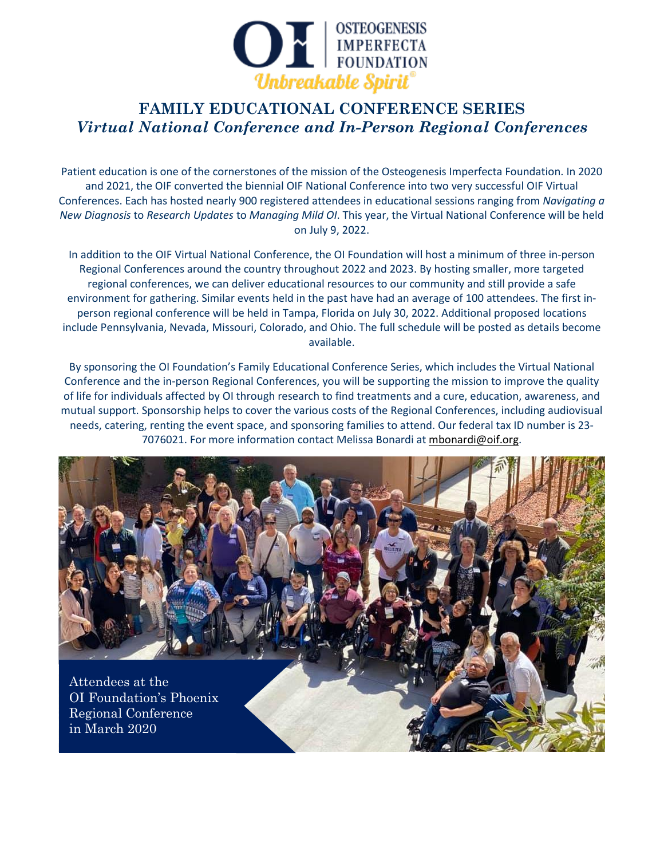

Patient education is one of the cornerstones of the mission of the Osteogenesis Imperfecta Foundation. In 2020 and 2021, the OIF converted the biennial OIF National Conference into two very successful OIF Virtual Conferences. Each has hosted nearly 900 registered attendees in educational sessions ranging from *Navigating a New Diagnosis* to *Research Updates* to *Managing Mild OI*. This year, the Virtual National Conference will be held on July 9, 2022.

In addition to the OIF Virtual National Conference, the OI Foundation will host a minimum of three in-person Regional Conferences around the country throughout 2022 and 2023. By hosting smaller, more targeted regional conferences, we can deliver educational resources to our community and still provide a safe environment for gathering. Similar events held in the past have had an average of 100 attendees. The first inperson regional conference will be held in Tampa, Florida on July 30, 2022. Additional proposed locations include Pennsylvania, Nevada, Missouri, Colorado, and Ohio. The full schedule will be posted as details become available.

By sponsoring the OI Foundation's Family Educational Conference Series, which includes the Virtual National Conference and the in-person Regional Conferences, you will be supporting the mission to improve the quality of life for individuals affected by OI through research to find treatments and a cure, education, awareness, and mutual support. Sponsorship helps to cover the various costs of the Regional Conferences, including audiovisual needs, catering, renting the event space, and sponsoring families to attend. Our federal tax ID number is 23- 7076021. For more information contact Melissa Bonardi at [mbonardi@oif.org.](mailto:mbonardi@oif.org)

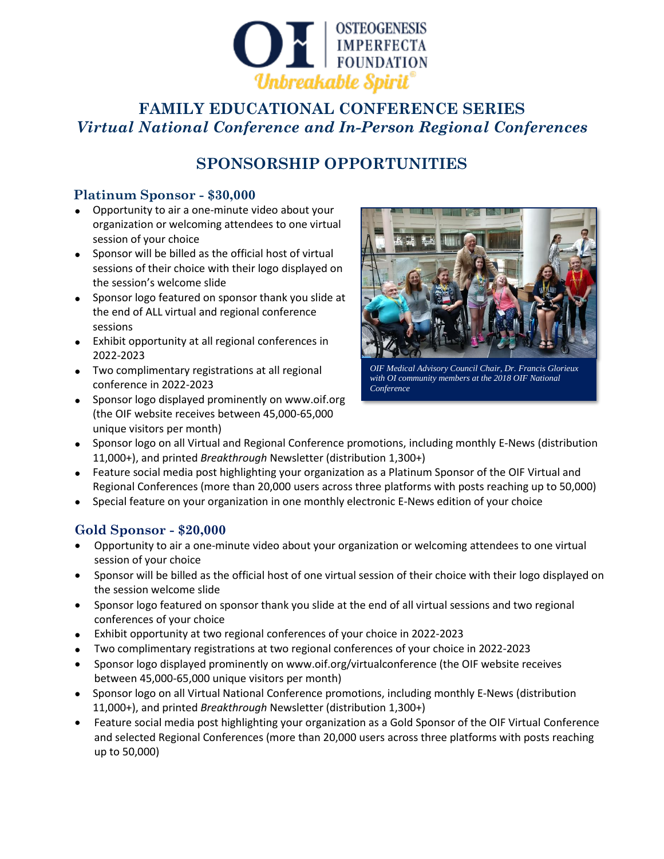

## **SPONSORSHIP OPPORTUNITIES**

#### **Platinum Sponsor - \$30,000**

- Opportunity to air a one-minute video about your organization or welcoming attendees to one virtual session of your choice
- Sponsor will be billed as the official host of virtual sessions of their choice with their logo displayed on the session's welcome slide
- Sponsor logo featured on sponsor thank you slide at the end of ALL virtual and regional conference sessions
- Exhibit opportunity at all regional conferences in 2022-2023
- Two complimentary registrations at all regional conference in 2022-2023
- Sponsor logo displayed prominently on www.oif.org (the OIF website receives between 45,000-65,000 unique visitors per month)



*OIF Medical Advisory Council Chair, Dr. Francis Glorieux with OI community members at the 2018 OIF National Conference*

- Sponsor logo on all Virtual and Regional Conference promotions, including monthly E-News (distribution 11,000+), and printed *Breakthrough* Newsletter (distribution 1,300+)
- Feature social media post highlighting your organization as a Platinum Sponsor of the OIF Virtual and Regional Conferences (more than 20,000 users across three platforms with posts reaching up to 50,000)
- Special feature on your organization in one monthly electronic E-News edition of your choice

### **Gold Sponsor - \$20,000**

- Opportunity to air a one-minute video about your organization or welcoming attendees to one virtual session of your choice
- Sponsor will be billed as the official host of one virtual session of their choice with their logo displayed on the session welcome slide
- Sponsor logo featured on sponsor thank you slide at the end of all virtual sessions and two regional conferences of your choice
- Exhibit opportunity at two regional conferences of your choice in 2022-2023
- Two complimentary registrations at two regional conferences of your choice in 2022-2023
- Sponsor logo displayed prominently on www.oif.org/virtualconference (the OIF website receives between 45,000-65,000 unique visitors per month)
- Sponsor logo on all Virtual National Conference promotions, including monthly E-News (distribution 11,000+), and printed *Breakthrough* Newsletter (distribution 1,300+)
- Feature social media post highlighting your organization as a Gold Sponsor of the OIF Virtual Conference and selected Regional Conferences (more than 20,000 users across three platforms with posts reaching up to 50,000)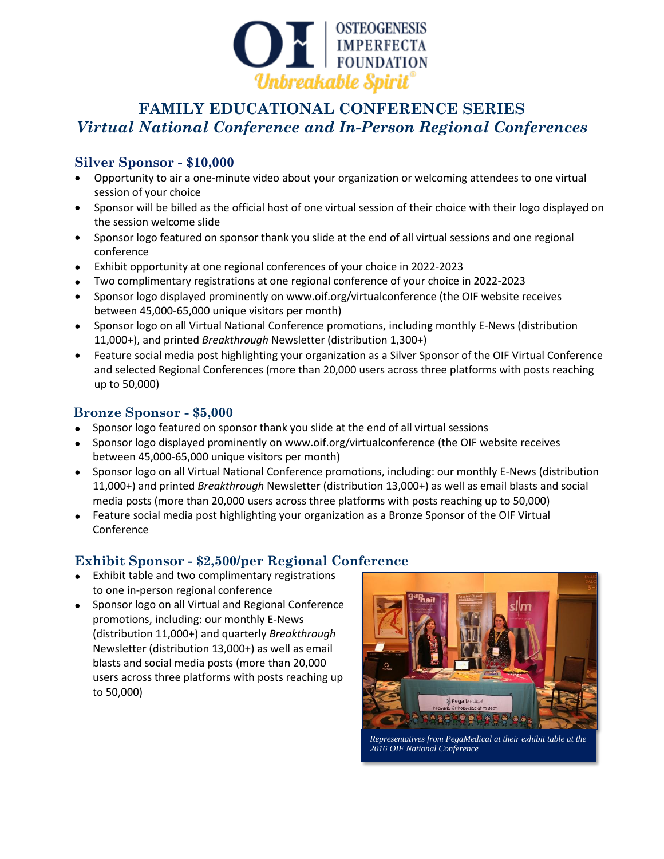

#### **Silver Sponsor - \$10,000**

- Opportunity to air a one-minute video about your organization or welcoming attendees to one virtual session of your choice
- Sponsor will be billed as the official host of one virtual session of their choice with their logo displayed on the session welcome slide
- Sponsor logo featured on sponsor thank you slide at the end of all virtual sessions and one regional conference
- Exhibit opportunity at one regional conferences of your choice in 2022-2023
- Two complimentary registrations at one regional conference of your choice in 2022-2023
- Sponsor logo displayed prominently on www.oif.org/virtualconference (the OIF website receives between 45,000-65,000 unique visitors per month)
- Sponsor logo on all Virtual National Conference promotions, including monthly E-News (distribution 11,000+), and printed *Breakthrough* Newsletter (distribution 1,300+)
- Feature social media post highlighting your organization as a Silver Sponsor of the OIF Virtual Conference and selected Regional Conferences (more than 20,000 users across three platforms with posts reaching up to 50,000)

#### **Bronze Sponsor - \$5,000**

- Sponsor logo featured on sponsor thank you slide at the end of all virtual sessions
- Sponsor logo displayed prominently on www.oif.org/virtualconference (the OIF website receives between 45,000-65,000 unique visitors per month)
- Sponsor logo on all Virtual National Conference promotions, including: our monthly E-News (distribution 11,000+) and printed *Breakthrough* Newsletter (distribution 13,000+) as well as email blasts and social media posts (more than 20,000 users across three platforms with posts reaching up to 50,000)
- Feature social media post highlighting your organization as a Bronze Sponsor of the OIF Virtual Conference

### **Exhibit Sponsor - \$2,500/per Regional Conference**

- Exhibit table and two complimentary registrations to one in-person regional conference
- Sponsor logo on all Virtual and Regional Conference promotions, including: our monthly E-News (distribution 11,000+) and quarterly *Breakthrough* Newsletter (distribution 13,000+) as well as email blasts and social media posts (more than 20,000 users across three platforms with posts reaching up to 50,000)



*Representatives from PegaMedical at their exhibit table at the 2016 OIF National Conference*